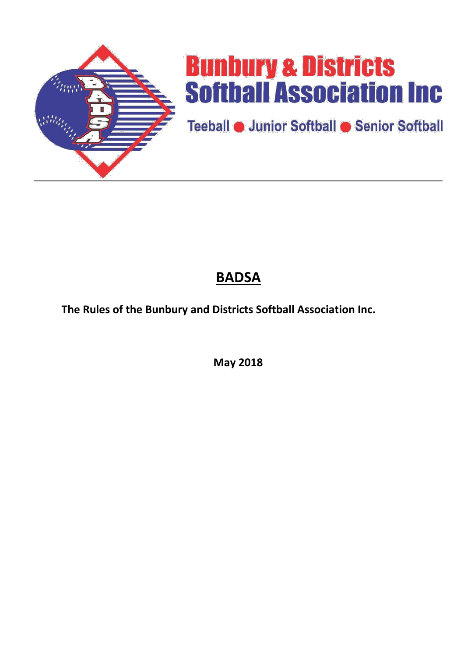

# **Bunbury & Districts Softball Association Inc.**

Teeball **O** Junior Softball C Senior Softball

## **BADSA**

**The Rules of the Bunbury and Districts Softball Association Inc.**

**May 2018**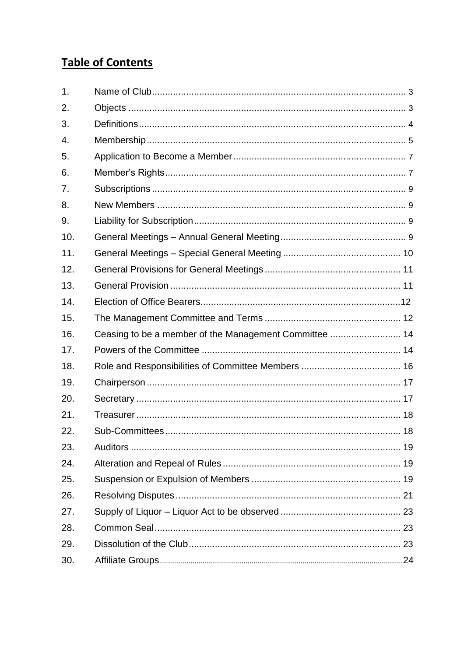### **Table of Contents**

| 1.  |  |
|-----|--|
| 2.  |  |
| 3.  |  |
| 4.  |  |
| 5.  |  |
| 6.  |  |
| 7.  |  |
| 8.  |  |
| 9.  |  |
| 10. |  |
| 11. |  |
| 12. |  |
| 13. |  |
| 14. |  |
| 15. |  |
| 16. |  |
| 17. |  |
| 18. |  |
| 19. |  |
| 20. |  |
| 21. |  |
| 22. |  |
| 23. |  |
| 24. |  |
| 25. |  |
| 26. |  |
| 27. |  |
| 28. |  |
| 29. |  |
| 30. |  |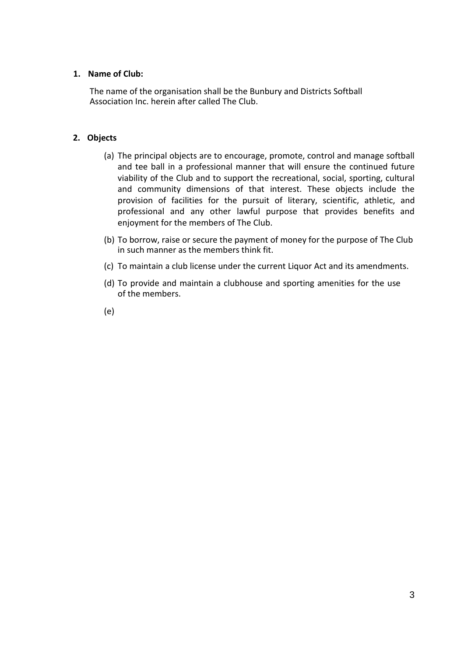#### <span id="page-2-0"></span>**1. Name of Club:**

The name of the organisation shall be the Bunbury and Districts Softball Association Inc. herein after called The Club.

#### **2. Objects**

- (a) The principal objects are to encourage, promote, control and manage softball and tee ball in a professional manner that will ensure the continued future viability of the Club and to support the recreational, social, sporting, cultural and community dimensions of that interest. These objects include the provision of facilities for the pursuit of literary, scientific, athletic, and professional and any other lawful purpose that provides benefits and enjoyment for the members of The Club.
- (b) To borrow, raise or secure the payment of money for the purpose of The Club in such manner as the members think fit.
- (c) To maintain a club license under the current Liquor Act and its amendments.
- (d) To provide and maintain a clubhouse and sporting amenities for the use of the members.
- (e)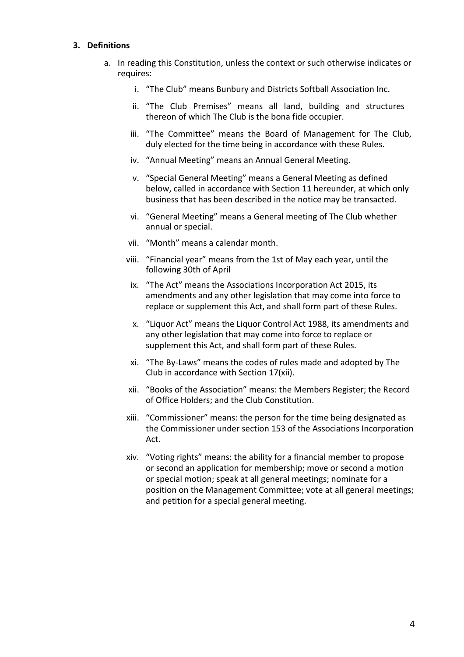#### <span id="page-3-0"></span>**3. Definitions**

- a. In reading this Constitution, unless the context or such otherwise indicates or requires:
	- i. "The Club" means Bunbury and Districts Softball Association Inc.
	- ii. "The Club Premises" means all land, building and structures thereon of which The Club is the bona fide occupier.
	- iii. "The Committee" means the Board of Management for The Club, duly elected for the time being in accordance with these Rules.
	- iv. "Annual Meeting" means an Annual General Meeting.
	- v. "Special General Meeting" means a General Meeting as defined below, called in accordance with Section 11 hereunder, at which only business that has been described in the notice may be transacted.
	- vi. "General Meeting" means a General meeting of The Club whether annual or special.
	- vii. "Month" means a calendar month.
	- viii. "Financial year" means from the 1st of May each year, until the following 30th of April
	- ix. "The Act" means the Associations Incorporation Act 2015, its amendments and any other legislation that may come into force to replace or supplement this Act, and shall form part of these Rules.
	- x. "Liquor Act" means the Liquor Control Act 1988, its amendments and any other legislation that may come into force to replace or supplement this Act, and shall form part of these Rules.
	- xi. "The By-Laws" means the codes of rules made and adopted by The Club in accordance with Section 17(xii).
	- xii. "Books of the Association" means: the Members Register; the Record of Office Holders; and the Club Constitution.
	- xiii. "Commissioner" means: the person for the time being designated as the Commissioner under section 153 of the Associations Incorporation Act.
	- xiv. "Voting rights" means: the ability for a financial member to propose or second an application for membership; move or second a motion or special motion; speak at all general meetings; nominate for a position on the Management Committee; vote at all general meetings; and petition for a special general meeting.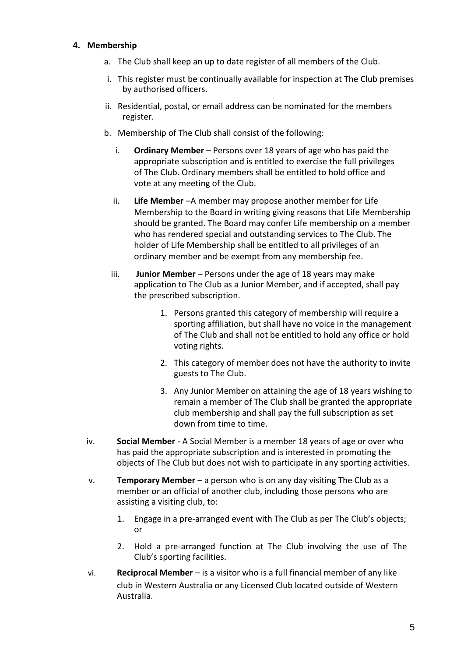#### **4. Membership**

- a. The Club shall keep an up to date register of all members of the Club.
- i. This register must be continually available for inspection at The Club premises by authorised officers.
- ii. Residential, postal, or email address can be nominated for the members register.
- b. Membership of The Club shall consist of the following:
	- i. **Ordinary Member**  Persons over 18 years of age who has paid the appropriate subscription and is entitled to exercise the full privileges of The Club. Ordinary members shall be entitled to hold office and vote at any meeting of the Club.
	- ii. **Life Member** –A member may propose another member for Life Membership to the Board in writing giving reasons that Life Membership should be granted. The Board may confer Life membership on a member who has rendered special and outstanding services to The Club. The holder of Life Membership shall be entitled to all privileges of an ordinary member and be exempt from any membership fee.
	- iii. **Junior Member**  Persons under the age of 18 years may make application to The Club as a Junior Member, and if accepted, shall pay the prescribed subscription.
		- 1. Persons granted this category of membership will require a sporting affiliation, but shall have no voice in the management of The Club and shall not be entitled to hold any office or hold voting rights.
		- 2. This category of member does not have the authority to invite guests to The Club.
		- 3. Any Junior Member on attaining the age of 18 years wishing to remain a member of The Club shall be granted the appropriate club membership and shall pay the full subscription as set down from time to time.
- iv. **Social Member**  A Social Member is a member 18 years of age or over who has paid the appropriate subscription and is interested in promoting the objects of The Club but does not wish to participate in any sporting activities.
- v. **Temporary Member**  a person who is on any day visiting The Club as a member or an official of another club, including those persons who are assisting a visiting club, to:
	- 1. Engage in a pre-arranged event with The Club as per The Club's objects; or
	- 2. Hold a pre-arranged function at The Club involving the use of The Club's sporting facilities.
- vi. **Reciprocal Member**  is a visitor who is a full financial member of any like club in Western Australia or any Licensed Club located outside of Western Australia.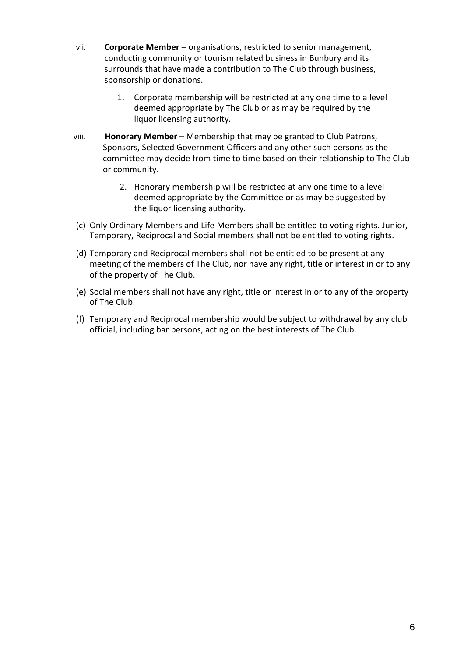- <span id="page-5-0"></span>vii. **Corporate Member** – organisations, restricted to senior management, conducting community or tourism related business in Bunbury and its surrounds that have made a contribution to The Club through business, sponsorship or donations.
	- 1. Corporate membership will be restricted at any one time to a level deemed appropriate by The Club or as may be required by the liquor licensing authority.
- viii. **Honorary Member**  Membership that may be granted to Club Patrons, Sponsors, Selected Government Officers and any other such persons as the committee may decide from time to time based on their relationship to The Club or community.
	- 2. Honorary membership will be restricted at any one time to a level deemed appropriate by the Committee or as may be suggested by the liquor licensing authority.
- (c) Only Ordinary Members and Life Members shall be entitled to voting rights. Junior, Temporary, Reciprocal and Social members shall not be entitled to voting rights.
- (d) Temporary and Reciprocal members shall not be entitled to be present at any meeting of the members of The Club, nor have any right, title or interest in or to any of the property of The Club.
- (e) Social members shall not have any right, title or interest in or to any of the property of The Club.
- (f) Temporary and Reciprocal membership would be subject to withdrawal by any club official, including bar persons, acting on the best interests of The Club.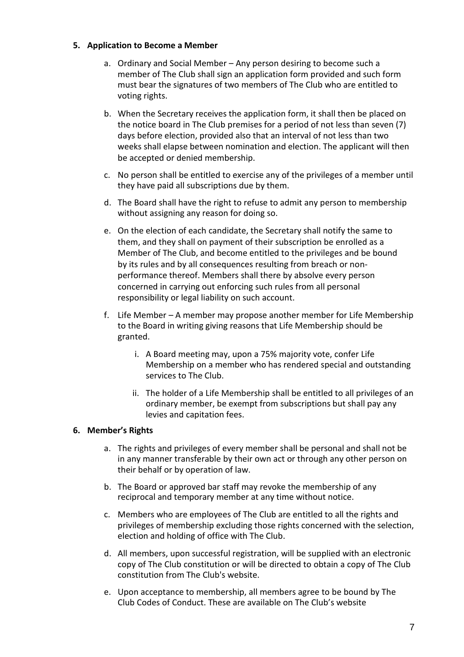#### <span id="page-6-0"></span>**5. Application to Become a Member**

- a. Ordinary and Social Member Any person desiring to become such a member of The Club shall sign an application form provided and such form must bear the signatures of two members of The Club who are entitled to voting rights.
- b. When the Secretary receives the application form, it shall then be placed on the notice board in The Club premises for a period of not less than seven (7) days before election, provided also that an interval of not less than two weeks shall elapse between nomination and election. The applicant will then be accepted or denied membership.
- c. No person shall be entitled to exercise any of the privileges of a member until they have paid all subscriptions due by them.
- d. The Board shall have the right to refuse to admit any person to membership without assigning any reason for doing so.
- e. On the election of each candidate, the Secretary shall notify the same to them, and they shall on payment of their subscription be enrolled as a Member of The Club, and become entitled to the privileges and be bound by its rules and by all consequences resulting from breach or nonperformance thereof. Members shall there by absolve every person concerned in carrying out enforcing such rules from all personal responsibility or legal liability on such account.
- f. Life Member A member may propose another member for Life Membership to the Board in writing giving reasons that Life Membership should be granted.
	- i. A Board meeting may, upon a 75% majority vote, confer Life Membership on a member who has rendered special and outstanding services to The Club.
	- ii. The holder of a Life Membership shall be entitled to all privileges of an ordinary member, be exempt from subscriptions but shall pay any levies and capitation fees.

#### **6. Member's Rights**

- a. The rights and privileges of every member shall be personal and shall not be in any manner transferable by their own act or through any other person on their behalf or by operation of law.
- b. The Board or approved bar staff may revoke the membership of any reciprocal and temporary member at any time without notice.
- c. Members who are employees of The Club are entitled to all the rights and privileges of membership excluding those rights concerned with the selection, election and holding of office with The Club.
- d. All members, upon successful registration, will be supplied with an electronic copy of The Club constitution or will be directed to obtain a copy of The Club constitution from The Club's website.
- e. Upon acceptance to membership, all members agree to be bound by The Club Codes of Conduct. These are available on The Club's website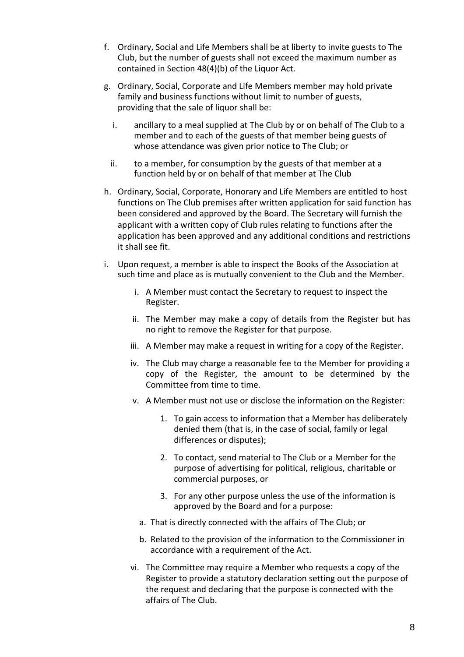- f. Ordinary, Social and Life Members shall be at liberty to invite guests to The Club, but the number of guests shall not exceed the maximum number as contained in Section 48(4)(b) of the Liquor Act.
- g. Ordinary, Social, Corporate and Life Members member may hold private family and business functions without limit to number of guests, providing that the sale of liquor shall be:
	- i. ancillary to a meal supplied at The Club by or on behalf of The Club to a member and to each of the guests of that member being guests of whose attendance was given prior notice to The Club; or
	- ii. to a member, for consumption by the guests of that member at a function held by or on behalf of that member at The Club
- h. Ordinary, Social, Corporate, Honorary and Life Members are entitled to host functions on The Club premises after written application for said function has been considered and approved by the Board. The Secretary will furnish the applicant with a written copy of Club rules relating to functions after the application has been approved and any additional conditions and restrictions it shall see fit.
- i. Upon request, a member is able to inspect the Books of the Association at such time and place as is mutually convenient to the Club and the Member.
	- i. A Member must contact the Secretary to request to inspect the Register.
	- ii. The Member may make a copy of details from the Register but has no right to remove the Register for that purpose.
	- iii. A Member may make a request in writing for a copy of the Register.
	- iv. The Club may charge a reasonable fee to the Member for providing a copy of the Register, the amount to be determined by the Committee from time to time.
	- v. A Member must not use or disclose the information on the Register:
		- 1. To gain access to information that a Member has deliberately denied them (that is, in the case of social, family or legal differences or disputes);
		- 2. To contact, send material to The Club or a Member for the purpose of advertising for political, religious, charitable or commercial purposes, or
		- 3. For any other purpose unless the use of the information is approved by the Board and for a purpose:
		- a. That is directly connected with the affairs of The Club; or
		- b. Related to the provision of the information to the Commissioner in accordance with a requirement of the Act.
	- vi. The Committee may require a Member who requests a copy of the Register to provide a statutory declaration setting out the purpose of the request and declaring that the purpose is connected with the affairs of The Club.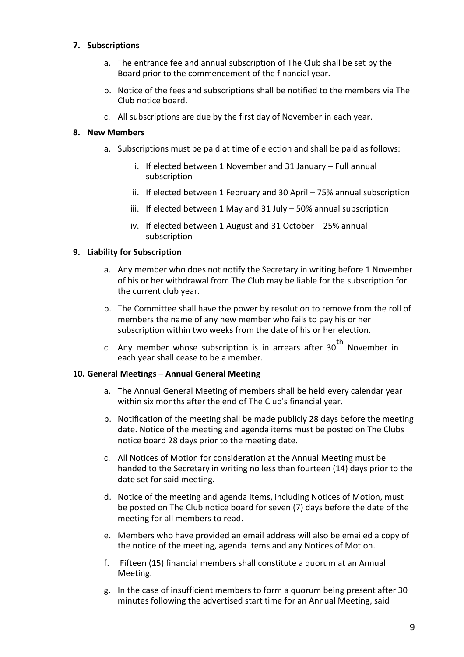#### <span id="page-8-0"></span>**7. Subscriptions**

- a. The entrance fee and annual subscription of The Club shall be set by the Board prior to the commencement of the financial year.
- b. Notice of the fees and subscriptions shall be notified to the members via The Club notice board.
- c. All subscriptions are due by the first day of November in each year.

#### **8. New Members**

- a. Subscriptions must be paid at time of election and shall be paid as follows:
	- i. If elected between 1 November and 31 January Full annual subscription
	- ii. If elected between 1 February and 30 April 75% annual subscription
	- iii. If elected between 1 May and 31 July 50% annual subscription
	- iv. If elected between 1 August and 31 October 25% annual subscription

#### **9. Liability for Subscription**

- a. Any member who does not notify the Secretary in writing before 1 November of his or her withdrawal from The Club may be liable for the subscription for the current club year.
- b. The Committee shall have the power by resolution to remove from the roll of members the name of any new member who fails to pay his or her subscription within two weeks from the date of his or her election.
- c. Any member whose subscription is in arrears after  $30<sup>th</sup>$  November in each year shall cease to be a member.

#### **10. General Meetings – Annual General Meeting**

- a. The Annual General Meeting of members shall be held every calendar year within six months after the end of The Club's financial year.
- b. Notification of the meeting shall be made publicly 28 days before the meeting date. Notice of the meeting and agenda items must be posted on The Clubs notice board 28 days prior to the meeting date.
- c. All Notices of Motion for consideration at the Annual Meeting must be handed to the Secretary in writing no less than fourteen (14) days prior to the date set for said meeting.
- d. Notice of the meeting and agenda items, including Notices of Motion, must be posted on The Club notice board for seven (7) days before the date of the meeting for all members to read.
- e. Members who have provided an email address will also be emailed a copy of the notice of the meeting, agenda items and any Notices of Motion.
- f. Fifteen (15) financial members shall constitute a quorum at an Annual Meeting.
- g. In the case of insufficient members to form a quorum being present after 30 minutes following the advertised start time for an Annual Meeting, said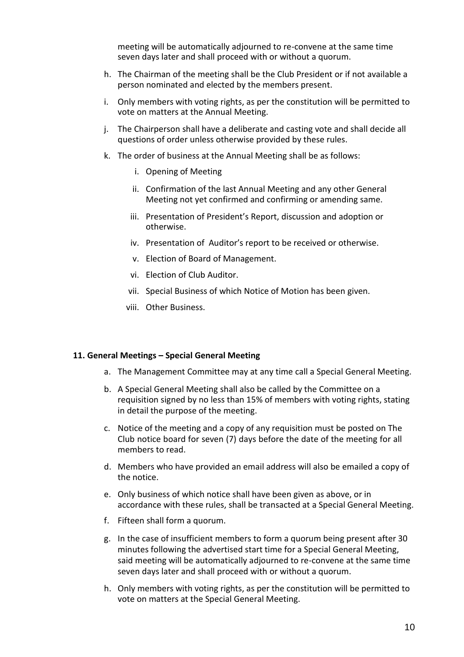meeting will be automatically adjourned to re-convene at the same time seven days later and shall proceed with or without a quorum.

- <span id="page-9-0"></span>h. The Chairman of the meeting shall be the Club President or if not available a person nominated and elected by the members present.
- i. Only members with voting rights, as per the constitution will be permitted to vote on matters at the Annual Meeting.
- j. The Chairperson shall have a deliberate and casting vote and shall decide all questions of order unless otherwise provided by these rules.
- k. The order of business at the Annual Meeting shall be as follows:
	- i. Opening of Meeting
	- ii. Confirmation of the last Annual Meeting and any other General Meeting not yet confirmed and confirming or amending same.
	- iii. Presentation of President's Report, discussion and adoption or otherwise.
	- iv. Presentation of Auditor's report to be received or otherwise.
	- v. Election of Board of Management.
	- vi. Election of Club Auditor.
	- vii. Special Business of which Notice of Motion has been given.
	- viii. Other Business.

#### **11. General Meetings – Special General Meeting**

- a. The Management Committee may at any time call a Special General Meeting.
- b. A Special General Meeting shall also be called by the Committee on a requisition signed by no less than 15% of members with voting rights, stating in detail the purpose of the meeting.
- c. Notice of the meeting and a copy of any requisition must be posted on The Club notice board for seven (7) days before the date of the meeting for all members to read.
- d. Members who have provided an email address will also be emailed a copy of the notice.
- e. Only business of which notice shall have been given as above, or in accordance with these rules, shall be transacted at a Special General Meeting.
- f. Fifteen shall form a quorum.
- g. In the case of insufficient members to form a quorum being present after 30 minutes following the advertised start time for a Special General Meeting, said meeting will be automatically adjourned to re-convene at the same time seven days later and shall proceed with or without a quorum.
- h. Only members with voting rights, as per the constitution will be permitted to vote on matters at the Special General Meeting.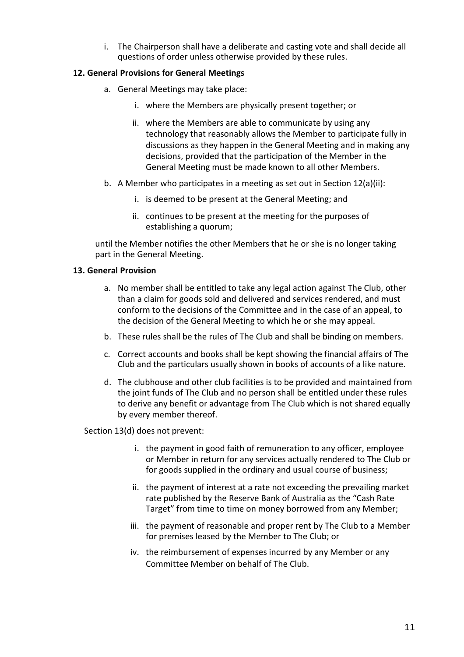i. The Chairperson shall have a deliberate and casting vote and shall decide all questions of order unless otherwise provided by these rules.

#### <span id="page-10-0"></span>**12. General Provisions for General Meetings**

- a. General Meetings may take place:
	- i. where the Members are physically present together; or
	- ii. where the Members are able to communicate by using any technology that reasonably allows the Member to participate fully in discussions as they happen in the General Meeting and in making any decisions, provided that the participation of the Member in the General Meeting must be made known to all other Members.
- b. A Member who participates in a meeting as set out in Section 12(a)(ii):
	- i. is deemed to be present at the General Meeting; and
	- ii. continues to be present at the meeting for the purposes of establishing a quorum;

until the Member notifies the other Members that he or she is no longer taking part in the General Meeting.

#### **13. General Provision**

- a. No member shall be entitled to take any legal action against The Club, other than a claim for goods sold and delivered and services rendered, and must conform to the decisions of the Committee and in the case of an appeal, to the decision of the General Meeting to which he or she may appeal.
- b. These rules shall be the rules of The Club and shall be binding on members.
- c. Correct accounts and books shall be kept showing the financial affairs of The Club and the particulars usually shown in books of accounts of a like nature.
- d. The clubhouse and other club facilities is to be provided and maintained from the joint funds of The Club and no person shall be entitled under these rules to derive any benefit or advantage from The Club which is not shared equally by every member thereof.

Section 13(d) does not prevent:

- i. the payment in good faith of remuneration to any officer, employee or Member in return for any services actually rendered to The Club or for goods supplied in the ordinary and usual course of business;
- ii. the payment of interest at a rate not exceeding the prevailing market rate published by the Reserve Bank of Australia as the "Cash Rate Target" from time to time on money borrowed from any Member;
- iii. the payment of reasonable and proper rent by The Club to a Member for premises leased by the Member to The Club; or
- iv. the reimbursement of expenses incurred by any Member or any Committee Member on behalf of The Club.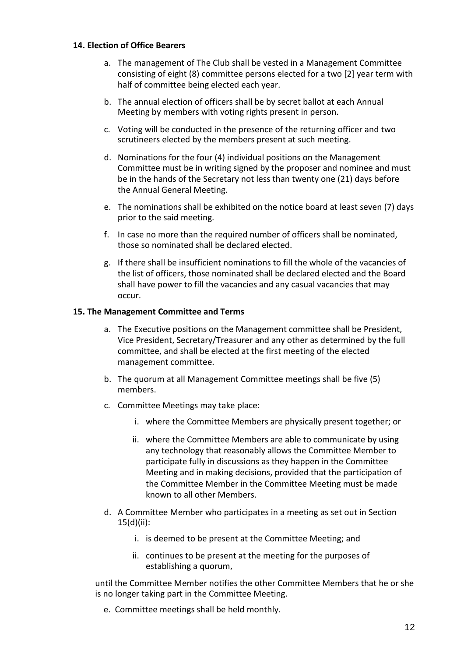#### <span id="page-11-0"></span>**14. Election of Office Bearers**

- a. The management of The Club shall be vested in a Management Committee consisting of eight (8) committee persons elected for a two [2] year term with half of committee being elected each year.
- b. The annual election of officers shall be by secret ballot at each Annual Meeting by members with voting rights present in person.
- c. Voting will be conducted in the presence of the returning officer and two scrutineers elected by the members present at such meeting.
- d. Nominations for the four (4) individual positions on the Management Committee must be in writing signed by the proposer and nominee and must be in the hands of the Secretary not less than twenty one (21) days before the Annual General Meeting.
- e. The nominations shall be exhibited on the notice board at least seven (7) days prior to the said meeting.
- f. In case no more than the required number of officers shall be nominated, those so nominated shall be declared elected.
- g. If there shall be insufficient nominations to fill the whole of the vacancies of the list of officers, those nominated shall be declared elected and the Board shall have power to fill the vacancies and any casual vacancies that may occur.

#### **15. The Management Committee and Terms**

- a. The Executive positions on the Management committee shall be President, Vice President, Secretary/Treasurer and any other as determined by the full committee, and shall be elected at the first meeting of the elected management committee.
- b. The quorum at all Management Committee meetings shall be five (5) members.
- c. Committee Meetings may take place:
	- i. where the Committee Members are physically present together; or
	- ii. where the Committee Members are able to communicate by using any technology that reasonably allows the Committee Member to participate fully in discussions as they happen in the Committee Meeting and in making decisions, provided that the participation of the Committee Member in the Committee Meeting must be made known to all other Members.
- d. A Committee Member who participates in a meeting as set out in Section 15(d)(ii):
	- i. is deemed to be present at the Committee Meeting; and
	- ii. continues to be present at the meeting for the purposes of establishing a quorum,

until the Committee Member notifies the other Committee Members that he or she is no longer taking part in the Committee Meeting.

e. Committee meetings shall be held monthly.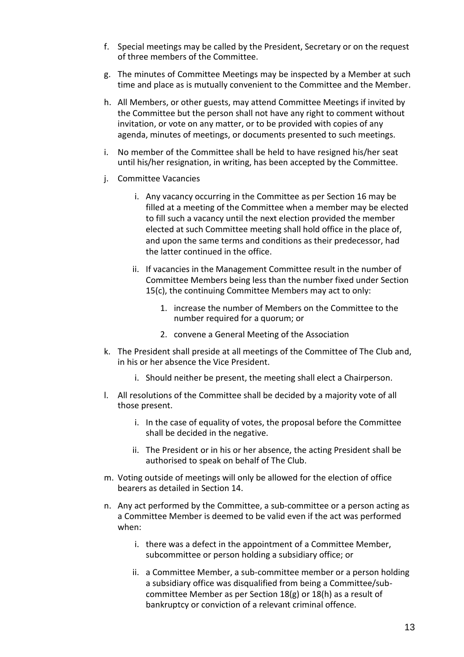- f. Special meetings may be called by the President, Secretary or on the request of three members of the Committee.
- g. The minutes of Committee Meetings may be inspected by a Member at such time and place as is mutually convenient to the Committee and the Member.
- h. All Members, or other guests, may attend Committee Meetings if invited by the Committee but the person shall not have any right to comment without invitation, or vote on any matter, or to be provided with copies of any agenda, minutes of meetings, or documents presented to such meetings.
- i. No member of the Committee shall be held to have resigned his/her seat until his/her resignation, in writing, has been accepted by the Committee.
- j. Committee Vacancies
	- i. Any vacancy occurring in the Committee as per Section 16 may be filled at a meeting of the Committee when a member may be elected to fill such a vacancy until the next election provided the member elected at such Committee meeting shall hold office in the place of, and upon the same terms and conditions as their predecessor, had the latter continued in the office.
	- ii. If vacancies in the Management Committee result in the number of Committee Members being less than the number fixed under Section 15(c), the continuing Committee Members may act to only:
		- 1. increase the number of Members on the Committee to the number required for a quorum; or
		- 2. convene a General Meeting of the Association
- k. The President shall preside at all meetings of the Committee of The Club and, in his or her absence the Vice President.
	- i. Should neither be present, the meeting shall elect a Chairperson.
- l. All resolutions of the Committee shall be decided by a majority vote of all those present.
	- i. In the case of equality of votes, the proposal before the Committee shall be decided in the negative.
	- ii. The President or in his or her absence, the acting President shall be authorised to speak on behalf of The Club.
- m. Voting outside of meetings will only be allowed for the election of office bearers as detailed in Section 14.
- n. Any act performed by the Committee, a sub-committee or a person acting as a Committee Member is deemed to be valid even if the act was performed when:
	- i. there was a defect in the appointment of a Committee Member, subcommittee or person holding a subsidiary office; or
	- ii. a Committee Member, a sub-committee member or a person holding a subsidiary office was disqualified from being a Committee/subcommittee Member as per Section 18(g) or 18(h) as a result of bankruptcy or conviction of a relevant criminal offence.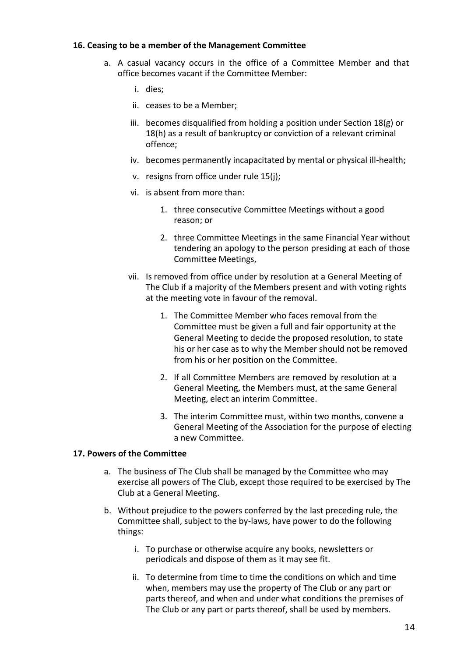#### <span id="page-13-0"></span>**16. Ceasing to be a member of the Management Committee**

- a. A casual vacancy occurs in the office of a Committee Member and that office becomes vacant if the Committee Member:
	- i. dies;
	- ii. ceases to be a Member;
	- iii. becomes disqualified from holding a position under Section 18(g) or 18(h) as a result of bankruptcy or conviction of a relevant criminal offence;
	- iv. becomes permanently incapacitated by mental or physical ill-health;
	- v. resigns from office under rule 15(j);
	- vi. is absent from more than:
		- 1. three consecutive Committee Meetings without a good reason; or
		- 2. three Committee Meetings in the same Financial Year without tendering an apology to the person presiding at each of those Committee Meetings,
	- vii. Is removed from office under by resolution at a General Meeting of The Club if a majority of the Members present and with voting rights at the meeting vote in favour of the removal.
		- 1. The Committee Member who faces removal from the Committee must be given a full and fair opportunity at the General Meeting to decide the proposed resolution, to state his or her case as to why the Member should not be removed from his or her position on the Committee.
		- 2. If all Committee Members are removed by resolution at a General Meeting, the Members must, at the same General Meeting, elect an interim Committee.
		- 3. The interim Committee must, within two months, convene a General Meeting of the Association for the purpose of electing a new Committee.

#### **17. Powers of the Committee**

- a. The business of The Club shall be managed by the Committee who may exercise all powers of The Club, except those required to be exercised by The Club at a General Meeting.
- b. Without prejudice to the powers conferred by the last preceding rule, the Committee shall, subject to the by-laws, have power to do the following things:
	- i. To purchase or otherwise acquire any books, newsletters or periodicals and dispose of them as it may see fit.
	- ii. To determine from time to time the conditions on which and time when, members may use the property of The Club or any part or parts thereof, and when and under what conditions the premises of The Club or any part or parts thereof, shall be used by members.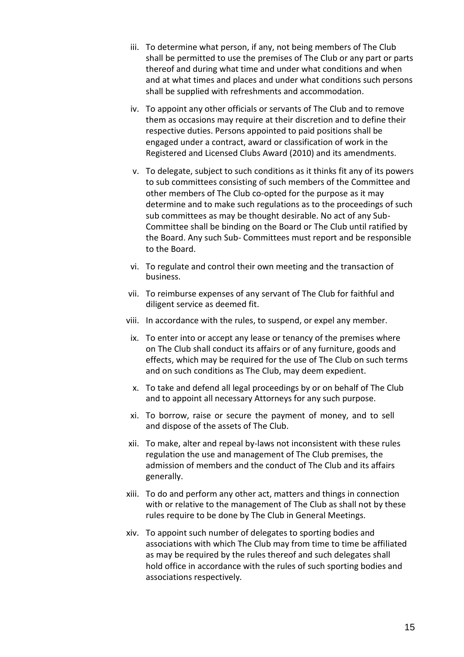- iii. To determine what person, if any, not being members of The Club shall be permitted to use the premises of The Club or any part or parts thereof and during what time and under what conditions and when and at what times and places and under what conditions such persons shall be supplied with refreshments and accommodation.
- iv. To appoint any other officials or servants of The Club and to remove them as occasions may require at their discretion and to define their respective duties. Persons appointed to paid positions shall be engaged under a contract, award or classification of work in the Registered and Licensed Clubs Award (2010) and its amendments.
- v. To delegate, subject to such conditions as it thinks fit any of its powers to sub committees consisting of such members of the Committee and other members of The Club co-opted for the purpose as it may determine and to make such regulations as to the proceedings of such sub committees as may be thought desirable. No act of any Sub-Committee shall be binding on the Board or The Club until ratified by the Board. Any such Sub- Committees must report and be responsible to the Board.
- vi. To regulate and control their own meeting and the transaction of business.
- vii. To reimburse expenses of any servant of The Club for faithful and diligent service as deemed fit.
- viii. In accordance with the rules, to suspend, or expel any member.
- ix. To enter into or accept any lease or tenancy of the premises where on The Club shall conduct its affairs or of any furniture, goods and effects, which may be required for the use of The Club on such terms and on such conditions as The Club, may deem expedient.
- x. To take and defend all legal proceedings by or on behalf of The Club and to appoint all necessary Attorneys for any such purpose.
- xi. To borrow, raise or secure the payment of money, and to sell and dispose of the assets of The Club.
- xii. To make, alter and repeal by-laws not inconsistent with these rules regulation the use and management of The Club premises, the admission of members and the conduct of The Club and its affairs generally.
- xiii. To do and perform any other act, matters and things in connection with or relative to the management of The Club as shall not by these rules require to be done by The Club in General Meetings.
- xiv. To appoint such number of delegates to sporting bodies and associations with which The Club may from time to time be affiliated as may be required by the rules thereof and such delegates shall hold office in accordance with the rules of such sporting bodies and associations respectively.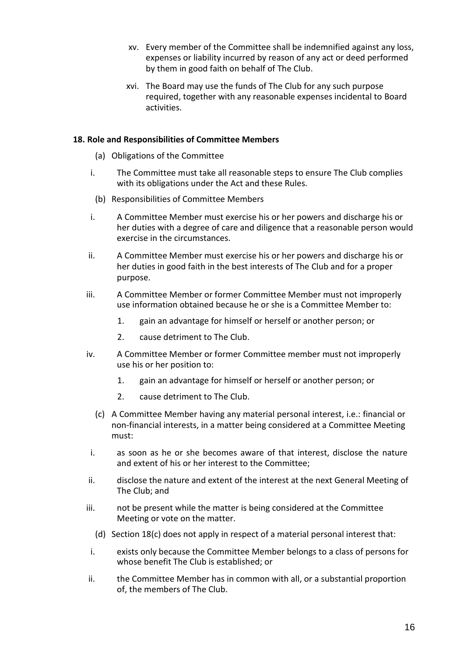- <span id="page-15-0"></span>xv. Every member of the Committee shall be indemnified against any loss, expenses or liability incurred by reason of any act or deed performed by them in good faith on behalf of The Club.
- xvi. The Board may use the funds of The Club for any such purpose required, together with any reasonable expenses incidental to Board activities.

#### **18. Role and Responsibilities of Committee Members**

- (a) Obligations of the Committee
- i. The Committee must take all reasonable steps to ensure The Club complies with its obligations under the Act and these Rules.
- (b) Responsibilities of Committee Members
- i. A Committee Member must exercise his or her powers and discharge his or her duties with a degree of care and diligence that a reasonable person would exercise in the circumstances.
- ii. A Committee Member must exercise his or her powers and discharge his or her duties in good faith in the best interests of The Club and for a proper purpose.
- iii. A Committee Member or former Committee Member must not improperly use information obtained because he or she is a Committee Member to:
	- 1. gain an advantage for himself or herself or another person; or
	- 2. cause detriment to The Club.
- iv. A Committee Member or former Committee member must not improperly use his or her position to:
	- 1. gain an advantage for himself or herself or another person; or
	- 2. cause detriment to The Club.
	- (c) A Committee Member having any material personal interest, i.e.: financial or non-financial interests, in a matter being considered at a Committee Meeting must:
- i. as soon as he or she becomes aware of that interest, disclose the nature and extent of his or her interest to the Committee;
- ii. disclose the nature and extent of the interest at the next General Meeting of The Club; and
- iii. not be present while the matter is being considered at the Committee Meeting or vote on the matter.
	- (d) Section 18(c) does not apply in respect of a material personal interest that:
- i. exists only because the Committee Member belongs to a class of persons for whose benefit The Club is established; or
- ii. the Committee Member has in common with all, or a substantial proportion of, the members of The Club.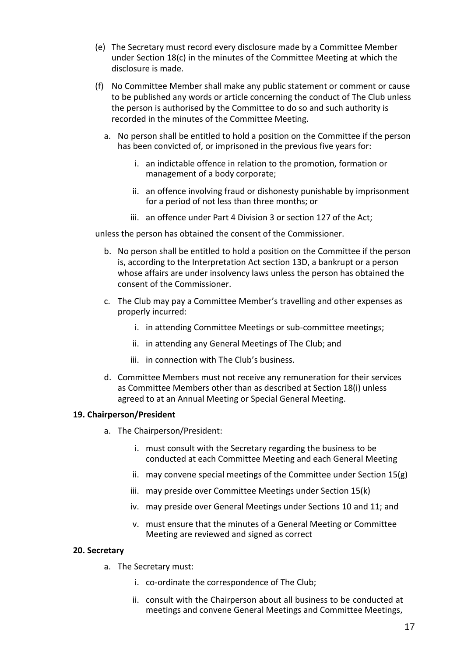- <span id="page-16-0"></span>(e) The Secretary must record every disclosure made by a Committee Member under Section 18(c) in the minutes of the Committee Meeting at which the disclosure is made.
- (f) No Committee Member shall make any public statement or comment or cause to be published any words or article concerning the conduct of The Club unless the person is authorised by the Committee to do so and such authority is recorded in the minutes of the Committee Meeting.
	- a. No person shall be entitled to hold a position on the Committee if the person has been convicted of, or imprisoned in the previous five years for:
		- i. an indictable offence in relation to the promotion, formation or management of a body corporate;
		- ii. an offence involving fraud or dishonesty punishable by imprisonment for a period of not less than three months; or
		- iii. an offence under Part 4 Division 3 or section 127 of the Act;

unless the person has obtained the consent of the Commissioner.

- b. No person shall be entitled to hold a position on the Committee if the person is, according to the Interpretation Act section 13D, a bankrupt or a person whose affairs are under insolvency laws unless the person has obtained the consent of the Commissioner.
- c. The Club may pay a Committee Member's travelling and other expenses as properly incurred:
	- i. in attending Committee Meetings or sub-committee meetings;
	- ii. in attending any General Meetings of The Club; and
	- iii. in connection with The Club's business.
- d. Committee Members must not receive any remuneration for their services as Committee Members other than as described at Section 18(i) unless agreed to at an Annual Meeting or Special General Meeting.

#### **19. Chairperson/President**

- a. The Chairperson/President:
	- i. must consult with the Secretary regarding the business to be conducted at each Committee Meeting and each General Meeting
	- ii. may convene special meetings of the Committee under Section 15(g)
	- iii. may preside over Committee Meetings under Section 15(k)
	- iv. may preside over General Meetings under Sections 10 and 11; and
	- v. must ensure that the minutes of a General Meeting or Committee Meeting are reviewed and signed as correct

#### **20. Secretary**

- a. The Secretary must:
	- i. co-ordinate the correspondence of The Club;
	- ii. consult with the Chairperson about all business to be conducted at meetings and convene General Meetings and Committee Meetings,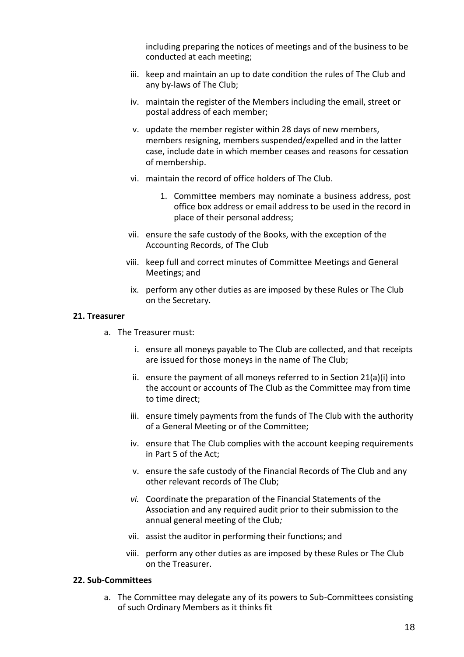including preparing the notices of meetings and of the business to be conducted at each meeting;

- <span id="page-17-0"></span>iii. keep and maintain an up to date condition the rules of The Club and any by-laws of The Club;
- iv. maintain the register of the Members including the email, street or postal address of each member;
- v. update the member register within 28 days of new members, members resigning, members suspended/expelled and in the latter case, include date in which member ceases and reasons for cessation of membership.
- vi. maintain the record of office holders of The Club.
	- 1. Committee members may nominate a business address, post office box address or email address to be used in the record in place of their personal address;
- vii. ensure the safe custody of the Books, with the exception of the Accounting Records, of The Club
- viii. keep full and correct minutes of Committee Meetings and General Meetings; and
	- ix. perform any other duties as are imposed by these Rules or The Club on the Secretary.

#### **21. Treasurer**

- a. The Treasurer must:
	- i. ensure all moneys payable to The Club are collected, and that receipts are issued for those moneys in the name of The Club;
	- ii. ensure the payment of all moneys referred to in Section 21(a)(i) into the account or accounts of The Club as the Committee may from time to time direct;
	- iii. ensure timely payments from the funds of The Club with the authority of a General Meeting or of the Committee;
	- iv. ensure that The Club complies with the account keeping requirements in Part 5 of the Act;
	- v. ensure the safe custody of the Financial Records of The Club and any other relevant records of The Club;
	- *vi.* Coordinate the preparation of the Financial Statements of the Association and any required audit prior to their submission to the annual general meeting of the Club*;*
	- vii. assist the auditor in performing their functions; and
	- viii. perform any other duties as are imposed by these Rules or The Club on the Treasurer.

#### **22. Sub-Committees**

a. The Committee may delegate any of its powers to Sub-Committees consisting of such Ordinary Members as it thinks fit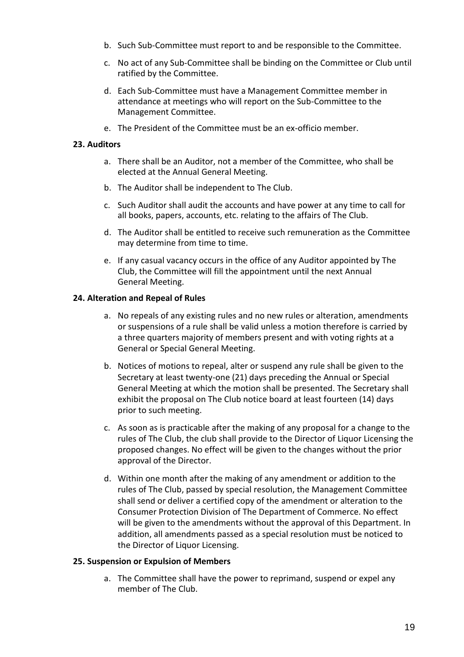- <span id="page-18-0"></span>b. Such Sub-Committee must report to and be responsible to the Committee.
- c. No act of any Sub-Committee shall be binding on the Committee or Club until ratified by the Committee.
- d. Each Sub-Committee must have a Management Committee member in attendance at meetings who will report on the Sub-Committee to the Management Committee.
- e. The President of the Committee must be an ex-officio member.

#### **23. Auditors**

- a. There shall be an Auditor, not a member of the Committee, who shall be elected at the Annual General Meeting.
- b. The Auditor shall be independent to The Club.
- c. Such Auditor shall audit the accounts and have power at any time to call for all books, papers, accounts, etc. relating to the affairs of The Club.
- d. The Auditor shall be entitled to receive such remuneration as the Committee may determine from time to time.
- e. If any casual vacancy occurs in the office of any Auditor appointed by The Club, the Committee will fill the appointment until the next Annual General Meeting.

#### **24. Alteration and Repeal of Rules**

- a. No repeals of any existing rules and no new rules or alteration, amendments or suspensions of a rule shall be valid unless a motion therefore is carried by a three quarters majority of members present and with voting rights at a General or Special General Meeting.
- b. Notices of motions to repeal, alter or suspend any rule shall be given to the Secretary at least twenty-one (21) days preceding the Annual or Special General Meeting at which the motion shall be presented. The Secretary shall exhibit the proposal on The Club notice board at least fourteen (14) days prior to such meeting.
- c. As soon as is practicable after the making of any proposal for a change to the rules of The Club, the club shall provide to the Director of Liquor Licensing the proposed changes. No effect will be given to the changes without the prior approval of the Director.
- d. Within one month after the making of any amendment or addition to the rules of The Club, passed by special resolution, the Management Committee shall send or deliver a certified copy of the amendment or alteration to the Consumer Protection Division of The Department of Commerce. No effect will be given to the amendments without the approval of this Department. In addition, all amendments passed as a special resolution must be noticed to the Director of Liquor Licensing.

#### **25. Suspension or Expulsion of Members**

a. The Committee shall have the power to reprimand, suspend or expel any member of The Club.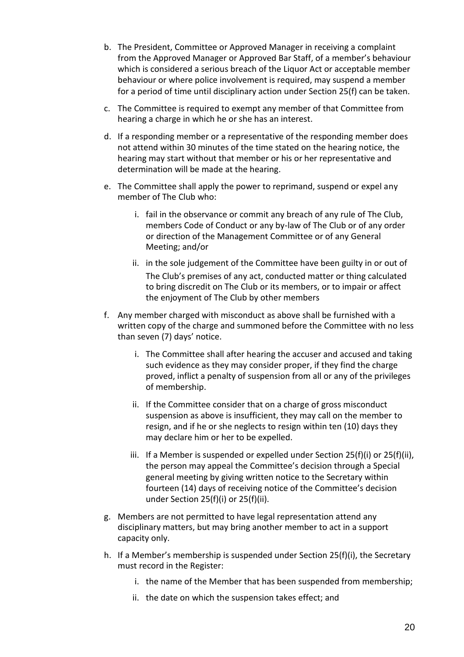- b. The President, Committee or Approved Manager in receiving a complaint from the Approved Manager or Approved Bar Staff, of a member's behaviour which is considered a serious breach of the Liquor Act or acceptable member behaviour or where police involvement is required, may suspend a member for a period of time until disciplinary action under Section 25(f) can be taken.
- c. The Committee is required to exempt any member of that Committee from hearing a charge in which he or she has an interest.
- d. If a responding member or a representative of the responding member does not attend within 30 minutes of the time stated on the hearing notice, the hearing may start without that member or his or her representative and determination will be made at the hearing.
- e. The Committee shall apply the power to reprimand, suspend or expel any member of The Club who:
	- i. fail in the observance or commit any breach of any rule of The Club, members Code of Conduct or any by-law of The Club or of any order or direction of the Management Committee or of any General Meeting; and/or
	- ii. in the sole judgement of the Committee have been guilty in or out of The Club's premises of any act, conducted matter or thing calculated to bring discredit on The Club or its members, or to impair or affect the enjoyment of The Club by other members
- f. Any member charged with misconduct as above shall be furnished with a written copy of the charge and summoned before the Committee with no less than seven (7) days' notice.
	- i. The Committee shall after hearing the accuser and accused and taking such evidence as they may consider proper, if they find the charge proved, inflict a penalty of suspension from all or any of the privileges of membership.
	- ii. If the Committee consider that on a charge of gross misconduct suspension as above is insufficient, they may call on the member to resign, and if he or she neglects to resign within ten (10) days they may declare him or her to be expelled.
	- iii. If a Member is suspended or expelled under Section 25(f)(i) or 25(f)(ii), the person may appeal the Committee's decision through a Special general meeting by giving written notice to the Secretary within fourteen (14) days of receiving notice of the Committee's decision under Section 25(f)(i) or 25(f)(ii).
- g. Members are not permitted to have legal representation attend any disciplinary matters, but may bring another member to act in a support capacity only.
- h. If a Member's membership is suspended under Section 25(f)(i), the Secretary must record in the Register:
	- i. the name of the Member that has been suspended from membership;
	- ii. the date on which the suspension takes effect; and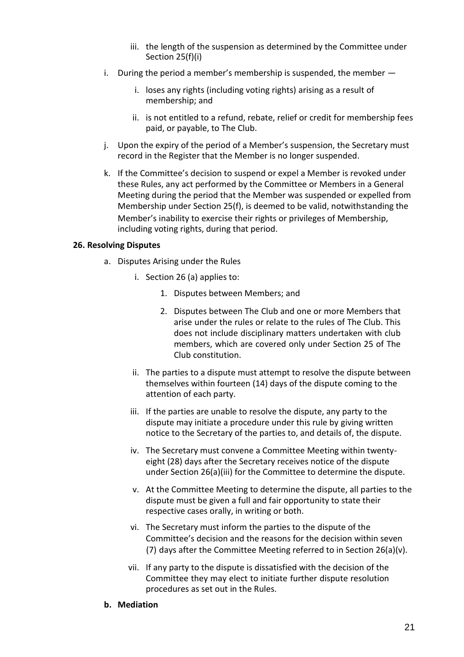- iii. the length of the suspension as determined by the Committee under Section 25(f)(i)
- <span id="page-20-0"></span>i. During the period a member's membership is suspended, the member
	- i. loses any rights (including voting rights) arising as a result of membership; and
	- ii. is not entitled to a refund, rebate, relief or credit for membership fees paid, or payable, to The Club.
- j. Upon the expiry of the period of a Member's suspension, the Secretary must record in the Register that the Member is no longer suspended.
- k. If the Committee's decision to suspend or expel a Member is revoked under these Rules, any act performed by the Committee or Members in a General Meeting during the period that the Member was suspended or expelled from Membership under Section 25(f), is deemed to be valid, notwithstanding the Member's inability to exercise their rights or privileges of Membership, including voting rights, during that period.

#### **26. Resolving Disputes**

- a. Disputes Arising under the Rules
	- i. Section 26 (a) applies to:
		- 1. Disputes between Members; and
		- 2. Disputes between The Club and one or more Members that arise under the rules or relate to the rules of The Club. This does not include disciplinary matters undertaken with club members, which are covered only under Section 25 of The Club constitution.
	- ii. The parties to a dispute must attempt to resolve the dispute between themselves within fourteen (14) days of the dispute coming to the attention of each party.
	- iii. If the parties are unable to resolve the dispute, any party to the dispute may initiate a procedure under this rule by giving written notice to the Secretary of the parties to, and details of, the dispute.
	- iv. The Secretary must convene a Committee Meeting within twentyeight (28) days after the Secretary receives notice of the dispute under Section 26(a)(iii) for the Committee to determine the dispute.
	- v. At the Committee Meeting to determine the dispute, all parties to the dispute must be given a full and fair opportunity to state their respective cases orally, in writing or both.
	- vi. The Secretary must inform the parties to the dispute of the Committee's decision and the reasons for the decision within seven (7) days after the Committee Meeting referred to in Section 26(a)(v).
	- vii. If any party to the dispute is dissatisfied with the decision of the Committee they may elect to initiate further dispute resolution procedures as set out in the Rules.
- **b. Mediation**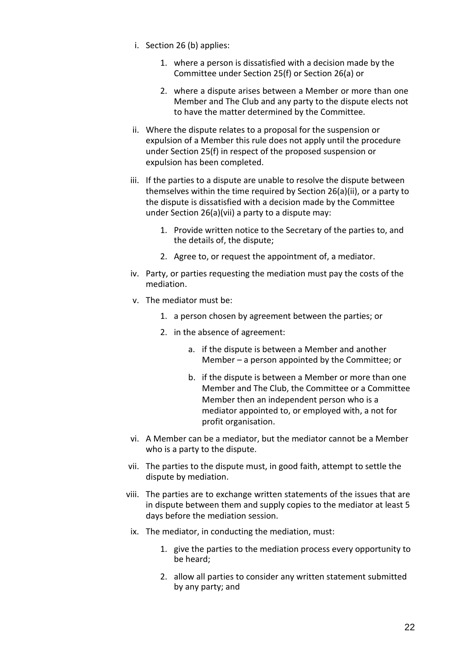- i. Section 26 (b) applies:
	- 1. where a person is dissatisfied with a decision made by the Committee under Section 25(f) or Section 26(a) or
	- 2. where a dispute arises between a Member or more than one Member and The Club and any party to the dispute elects not to have the matter determined by the Committee.
- ii. Where the dispute relates to a proposal for the suspension or expulsion of a Member this rule does not apply until the procedure under Section 25(f) in respect of the proposed suspension or expulsion has been completed.
- iii. If the parties to a dispute are unable to resolve the dispute between themselves within the time required by Section 26(a)(ii), or a party to the dispute is dissatisfied with a decision made by the Committee under Section 26(a)(vii) a party to a dispute may:
	- 1. Provide written notice to the Secretary of the parties to, and the details of, the dispute;
	- 2. Agree to, or request the appointment of, a mediator.
- iv. Party, or parties requesting the mediation must pay the costs of the mediation.
- v. The mediator must be:
	- 1. a person chosen by agreement between the parties; or
	- 2. in the absence of agreement:
		- a. if the dispute is between a Member and another Member – a person appointed by the Committee; or
		- b. if the dispute is between a Member or more than one Member and The Club, the Committee or a Committee Member then an independent person who is a mediator appointed to, or employed with, a not for profit organisation.
- vi. A Member can be a mediator, but the mediator cannot be a Member who is a party to the dispute.
- vii. The parties to the dispute must, in good faith, attempt to settle the dispute by mediation.
- viii. The parties are to exchange written statements of the issues that are in dispute between them and supply copies to the mediator at least 5 days before the mediation session.
- ix. The mediator, in conducting the mediation, must:
	- 1. give the parties to the mediation process every opportunity to be heard;
	- 2. allow all parties to consider any written statement submitted by any party; and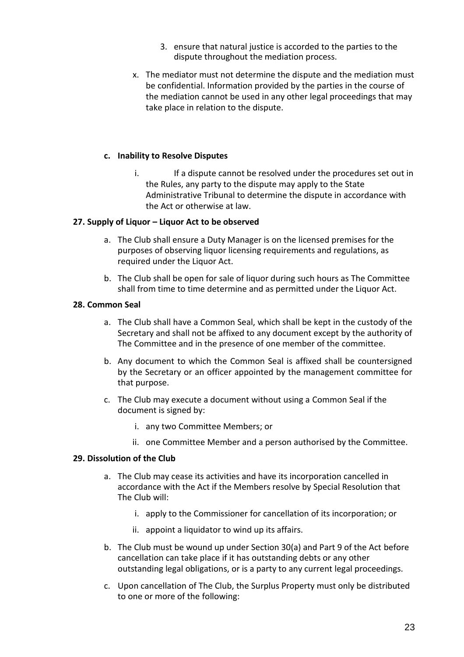- 3. ensure that natural justice is accorded to the parties to the dispute throughout the mediation process.
- <span id="page-22-0"></span>x. The mediator must not determine the dispute and the mediation must be confidential. Information provided by the parties in the course of the mediation cannot be used in any other legal proceedings that may take place in relation to the dispute.

#### **c. Inability to Resolve Disputes**

i. If a dispute cannot be resolved under the procedures set out in the Rules, any party to the dispute may apply to the State Administrative Tribunal to determine the dispute in accordance with the Act or otherwise at law.

#### **27. Supply of Liquor – Liquor Act to be observed**

- a. The Club shall ensure a Duty Manager is on the licensed premises for the purposes of observing liquor licensing requirements and regulations, as required under the Liquor Act.
- b. The Club shall be open for sale of liquor during such hours as The Committee shall from time to time determine and as permitted under the Liquor Act.

#### **28. Common Seal**

- a. The Club shall have a Common Seal, which shall be kept in the custody of the Secretary and shall not be affixed to any document except by the authority of The Committee and in the presence of one member of the committee.
- b. Any document to which the Common Seal is affixed shall be countersigned by the Secretary or an officer appointed by the management committee for that purpose.
- c. The Club may execute a document without using a Common Seal if the document is signed by:
	- i. any two Committee Members; or
	- ii. one Committee Member and a person authorised by the Committee.

#### **29. Dissolution of the Club**

- a. The Club may cease its activities and have its incorporation cancelled in accordance with the Act if the Members resolve by Special Resolution that The Club will:
	- i. apply to the Commissioner for cancellation of its incorporation; or
	- ii. appoint a liquidator to wind up its affairs.
- b. The Club must be wound up under Section 30(a) and Part 9 of the Act before cancellation can take place if it has outstanding debts or any other outstanding legal obligations, or is a party to any current legal proceedings.
- c. Upon cancellation of The Club, the Surplus Property must only be distributed to one or more of the following: